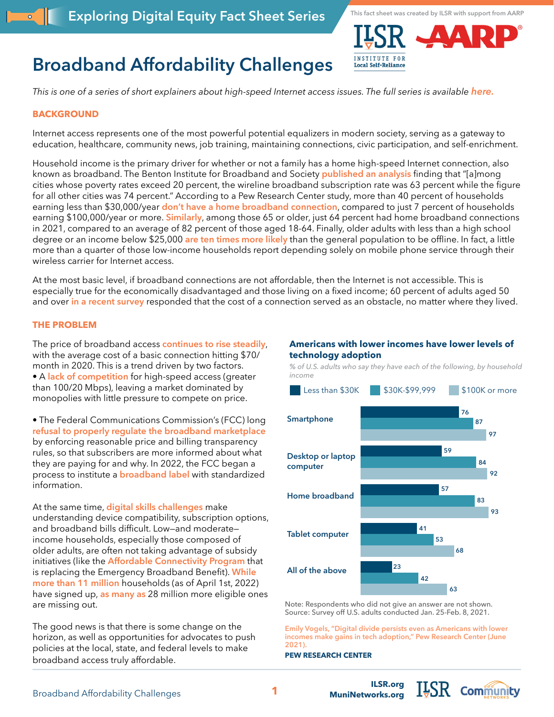



# **Broadband Affordability Challenges**

*This is one of a series of short explainers about high-speed Internet access issues. The full series is available [here.](https://ilsr.org/exploring-digital-equity-fact-sheets)*

## **BACKGROUND**

Internet access represents one of the most powerful potential equalizers in modern society, serving as a gateway to education, healthcare, community news, job training, maintaining connections, civic participation, and self-enrichment.

Household income is the primary driver for whether or not a family has a home high-speed Internet connection, also known as broadband. The Benton Institute for Broadband and Society **[published an analysis](https://www.benton.org/blog/focusing-affordability)** finding that "[a]mong cities whose poverty rates exceed 20 percent, the wireline broadband subscription rate was 63 percent while the figure for all other cities was 74 percent." According to a Pew Research Center study, more than 40 percent of households earning less than \$30,000/year **[don't have a home broadband connection](https://www.pewresearch.org/fact-tank/2021/06/22/digital-divide-persists-even-as-americans-with-lower-incomes-make-gains-in-tech-adoption/)**, compared to just 7 percent of households earning \$100,000/year or more. **[Similarly](https://www.pewresearch.org/internet/fact-sheet/internet-broadband/?menuItem=b59d5c71-53f5-4023-9955-78a8bacc4e56)**, among those 65 or older, just 64 percent had home broadband connections in 2021, compared to an average of 82 percent of those aged 18-64. Finally, older adults with less than a high school degree or an income below \$25,000 **[are ten times more likely](https://agingconnected.org/report/)** than the general population to be offline. In fact, a little more than a quarter of those low-income households report depending solely on mobile phone service through their wireless carrier for Internet access.

At the most basic level, if broadband connections are not affordable, then the Internet is not accessible. This is especially true for the economically disadvantaged and those living on a fixed income; 60 percent of adults aged 50 and over **[in a recent survey](https://www.aarp.org/research/topics/technology/info-2021/2021-technology-trends-older-americans.html)** responded that the cost of a connection served as an obstacle, no matter where they lived.

#### **THE PROBLEM**

The price of broadband access **[continues to rise steadily](https://www.newamerica.org/oti/reports/cost-connectivity-2020/)**, with the average cost of a basic connection hitting \$70/ month in 2020. This is a trend driven by two factors. • A **[lack of competition](https://www.benton.org/blog/focusing-affordability)** for high-speed access (greater than 100/20 Mbps), leaving a market dominated by monopolies with little pressure to compete on price.

• The Federal Communications Commission's (FCC) long **[refusal to properly regulate the broadband marketplace](https://ilsr.org/report-broadband-transparency-scorecard/)**  by enforcing reasonable price and billing transparency rules, so that subscribers are more informed about what they are paying for and why. In 2022, the FCC began a process to institute a **[broadband lab](https://ilsr.org/report-broadband-transparency-scorecard/)el** with standardized information.

At the same time, **[digital skills challenges](https://ilsr.org/exploring-digital-equity-fact-sheets)** make understanding device compatibility, subscription options, and broadband bills difficult. Low—and moderate income households, especially those composed of older adults, are often not taking advantage of subsidy initiatives (like the **[Affordable Connectivity Program](https://www.lexology.com/library/detail.aspx?g=ec4ec7a0-b9a9-4ce3-a7e1-3ae379f98396)** that is replacing the Emergency Broadband Benefit). **[While](https://arnicusc.org/publications/a-roadmap-for-affordable-broadband-lessons-from-the-emergency-broadband-benefit/)  [more than 11 million](https://arnicusc.org/publications/a-roadmap-for-affordable-broadband-lessons-from-the-emergency-broadband-benefit/)** households (as of April 1st, 2022) have signed up, **[as many as](https://broadbandnow.com/internet/emergency-broadband-benefit-report)** 28 million more eligible ones are missing out.

The good news is that there is some change on the horizon, as well as opportunities for advocates to push policies at the local, state, and federal levels to make broadband access truly affordable.

#### **Americans with lower incomes have lower levels of technology adoption**

*% of U.S. adults who say they have each of the following, by household income*



Note: Respondents who did not give an answer are not shown. Source: Survey off U.S. adults conducted Jan. 25-Feb. 8, 2021.

**[MuniNetworks.org](http://MuniNetworks.org)**

**[Emily Vogels, "Digital divide persists even as Americans with lower](https://www.pewresearch.org/fact-tank/2021/06/22/digital-divide-persists-even-as-americans-with-lower-incomes-make-gains-in-tech-adoption/)  0 20 40 60 80 100 [incomes make gains in tech adoption," Pew Research Center \(June](https://www.pewresearch.org/fact-tank/2021/06/22/digital-divide-persists-even-as-americans-with-lower-incomes-make-gains-in-tech-adoption/)  [2021\).](https://www.pewresearch.org/fact-tank/2021/06/22/digital-divide-persists-even-as-americans-with-lower-incomes-make-gains-in-tech-adoption/)**

 $1.5R$  Community

#### **PEW RESEARCH CENTER**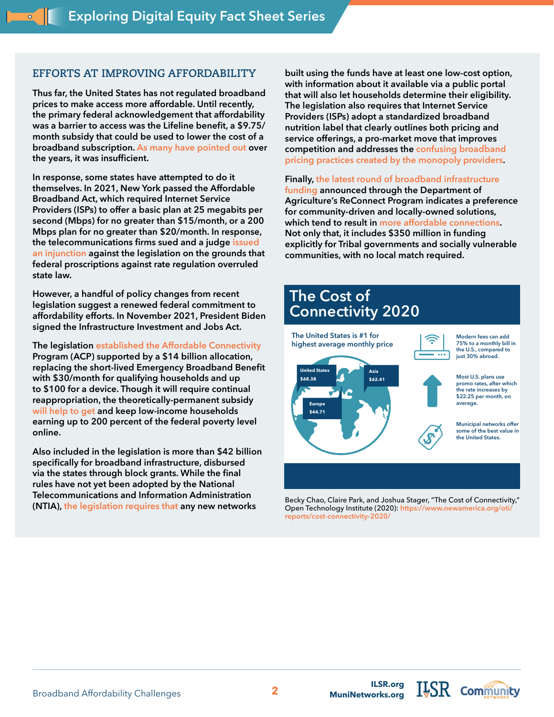## **EFFORTS AT IMPROVING AFFORDABILITY**

**Thus far, the United States has not regulated broadband prices to make access more affordable. Until recently, the primary federal acknowledgement that affordability was a barrier to access was the Lifeline benefit, a \$9.75/ month subsidy that could be used to lower the cost of a broadband subscription. [As many have pointed out o](https://www.technologyreview.com/2016/03/10/161650/the-us-governments-internet-lifeline-for-the-poor-isnt-much-of-one/)ver the years, it was insufficient.** 

**In response, some states have attempted to do it themselves. In 2021, New York passed the Affordable Broadband Act, which required Internet Service Providers (ISPs) to offer a basic plan at 25 megabits per second (Mbps) for no greater than \$15/month, or a 200 Mbps plan for no greater than \$20/month. In response, the telecommunications firms sued and a judge [issued](https://arstechnica.com/tech-policy/2021/06/ny-cant-force-isps-to-offer-15-low-income-broadband-plans-judge-rules/)  [an injunction](https://arstechnica.com/tech-policy/2021/06/ny-cant-force-isps-to-offer-15-low-income-broadband-plans-judge-rules/) against the legislation on the grounds that federal proscriptions against rate regulation overruled state law.**

**However, a handful of policy changes from recent legislation suggest a renewed federal commitment to affordability efforts. In November 2021, President Biden signed the Infrastructure Investment and Jobs Act.** 

**The legislation [established the Affordable Connectivity](https://www.brookings.edu/blog/up-front/2021/08/18/the-benefits-and-costs-of-broadband-expansion/)  Program (ACP) supported by a \$14 billion allocation, replacing the short-lived Emergency Broadband Benefit with \$30/month for qualifying households and up to \$100 for a device. Though it will require continual reappropriation, the theoretically-permanent subsidy [will help to get](https://www.aarp.org/home-family/personal-technology/info-2021/fcc-subsidy-helps-broadband-internet-access.html) and keep low-income households earning up to 200 percent of the federal poverty level online.** 

**Also included in the legislation is more than \$42 billion specifically for broadband infrastructure, disbursed via the states through block grants. While the final rules have not yet been adopted by the National Telecommunications and Information Administration (NTIA), [the legislation requires that](https://www.benton.org/blog/largest-us-investment-broadband-deployment-ever) any new networks** 

**built using the funds have at least one low-cost option, with information about it available via a public portal that will also let households determine their eligibility. The legislation also requires that Internet Service Providers (ISPs) adopt a standardized broadband nutrition label that clearly outlines both pricing and service offerings, a pro-market move that improves competition and addresses the [confusing broadband](https://ilsr.org/wp-content/uploads/2021/11/report-broadband-network-transparency.pdf )  [pricing practices created by the monopoly providers](https://ilsr.org/wp-content/uploads/2021/11/report-broadband-network-transparency.pdf ).**

#### **Finally, [the latest round of broadband infrastructure](https://www.usda.gov/reconnect)**

**[funding](https://www.usda.gov/reconnect) announced through the Department of Agriculture's ReConnect Program indicates a preference for community-driven and locally-owned solutions, which tend to result in [more affordable connections](https://cyber.harvard.edu/publications/2018/01/communityfiber). Not only that, it includes \$350 million in funding explicitly for Tribal governments and socially vulnerable communities, with no local match required.** 



Becky Chao, Claire Park, and Joshua Stager, "The Cost of Connectivity," Open Technology Institute (2020): **[https://www.newamerica.org/oti/](https://www.newamerica.org/oti/reports/cost-connectivity-2020/) [reports/cost-connectivity-2020/](https://www.newamerica.org/oti/reports/cost-connectivity-2020/)**